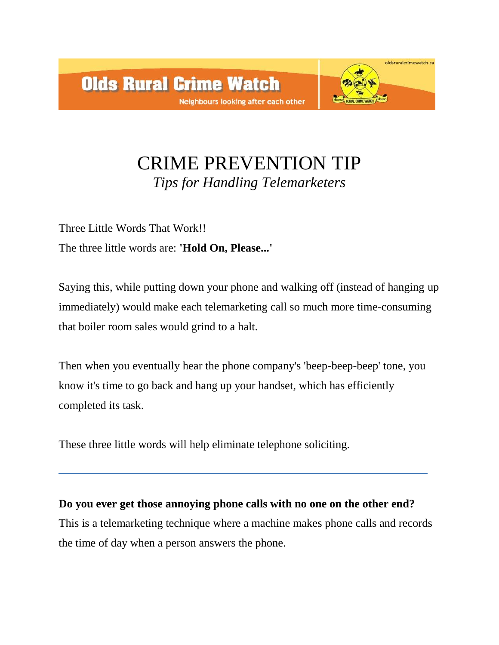

## CRIME PREVENTION TIP *Tips for Handling Telemarketers*

Three Little Words That Work!! The three little words are: **'Hold On, Please...'** 

Saying this, while putting down your phone and walking off (instead of hanging up immediately) would make each telemarketing call so much more time-consuming that boiler room sales would grind to a halt.

Then when you eventually hear the phone company's 'beep-beep-beep' tone, you know it's time to go back and hang up your handset, which has efficiently completed its task.

These three little words will help eliminate telephone soliciting.

**Do you ever get those annoying phone calls with no one on the other end?**  This is a telemarketing technique where a machine makes phone calls and records the time of day when a person answers the phone.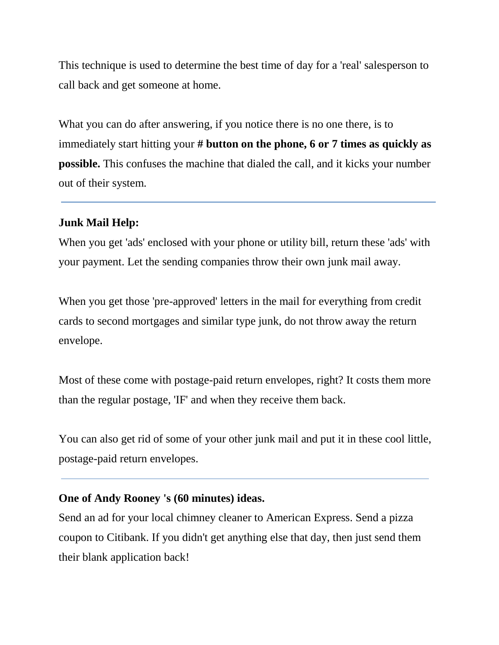This technique is used to determine the best time of day for a 'real' salesperson to call back and get someone at home.

What you can do after answering, if you notice there is no one there, is to immediately start hitting your **# button on the phone, 6 or 7 times as quickly as possible.** This confuses the machine that dialed the call, and it kicks your number out of their system.

## **Junk Mail Help:**

When you get 'ads' enclosed with your phone or utility bill, return these 'ads' with your payment. Let the sending companies throw their own junk mail away.

When you get those 'pre-approved' letters in the mail for everything from credit cards to second mortgages and similar type junk, do not throw away the return envelope.

Most of these come with postage-paid return envelopes, right? It costs them more than the regular postage, 'IF' and when they receive them back.

You can also get rid of some of your other junk mail and put it in these cool little, postage-paid return envelopes.

## **One of Andy Rooney 's (60 minutes) ideas.**

Send an ad for your local chimney cleaner to American Express. Send a pizza coupon to Citibank. If you didn't get anything else that day, then just send them their blank application back!